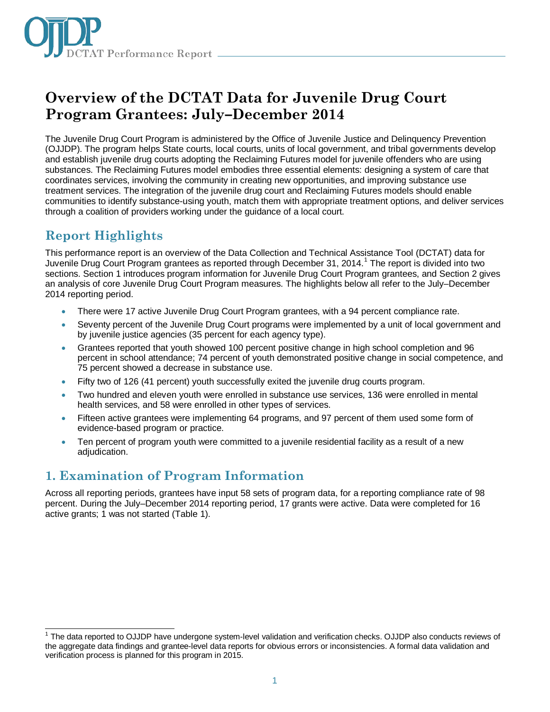

# **Overview of the DCTAT Data for Juvenile Drug Court Program Grantees: July–December 2014**

The Juvenile Drug Court Program is administered by the Office of Juvenile Justice and Delinquency Prevention (OJJDP). The program helps State courts, local courts, units of local government, and tribal governments develop and establish juvenile drug courts adopting the Reclaiming Futures model for juvenile offenders who are using substances. The Reclaiming Futures model embodies three essential elements: designing a system of care that coordinates services, involving the community in creating new opportunities, and improving substance use treatment services. The integration of the juvenile drug court and Reclaiming Futures models should enable communities to identify substance-using youth, match them with appropriate treatment options, and deliver services through a coalition of providers working under the guidance of a local court.

# **Report Highlights**

This performance report is an overview of the Data Collection and Technical Assistance Tool (DCTAT) data for Juvenile Drug Court Program grantees as reported through December 3[1](#page-0-0), 2014.<sup>1</sup> The report is divided into two sections. Section 1 introduces program information for Juvenile Drug Court Program grantees, and Section 2 gives an analysis of core Juvenile Drug Court Program measures. The highlights below all refer to the July–December 2014 reporting period.

- There were 17 active Juvenile Drug Court Program grantees, with a 94 percent compliance rate.
- Seventy percent of the Juvenile Drug Court programs were implemented by a unit of local government and by juvenile justice agencies (35 percent for each agency type).
- Grantees reported that youth showed 100 percent positive change in high school completion and 96 percent in school attendance; 74 percent of youth demonstrated positive change in social competence, and 75 percent showed a decrease in substance use.
- Fifty two of 126 (41 percent) youth successfully exited the juvenile drug courts program.
- Two hundred and eleven youth were enrolled in substance use services, 136 were enrolled in mental health services, and 58 were enrolled in other types of services.
- Fifteen active grantees were implementing 64 programs, and 97 percent of them used some form of evidence-based program or practice.
- Ten percent of program youth were committed to a juvenile residential facility as a result of a new adjudication.

## **1. Examination of Program Information**

Across all reporting periods, grantees have input 58 sets of program data, for a reporting compliance rate of 98 percent. During the July–December 2014 reporting period, 17 grants were active. Data were completed for 16 active grants; 1 was not started (Table 1).

<span id="page-0-0"></span> <sup>1</sup> The data reported to OJJDP have undergone system-level validation and verification checks. OJJDP also conducts reviews of the aggregate data findings and grantee-level data reports for obvious errors or inconsistencies. A formal data validation and verification process is planned for this program in 2015.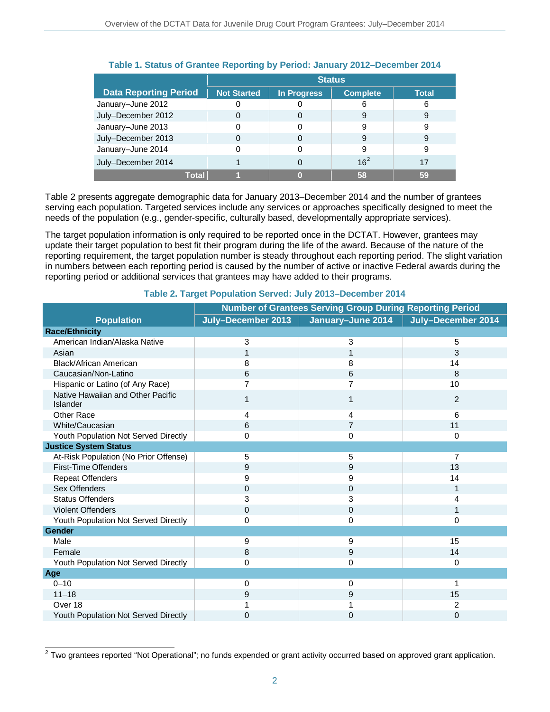|                              | <b>Status</b>      |                    |                 |              |
|------------------------------|--------------------|--------------------|-----------------|--------------|
| <b>Data Reporting Period</b> | <b>Not Started</b> | <b>In Progress</b> | <b>Complete</b> | <b>Total</b> |
| January-June 2012            |                    |                    | 6               | 6            |
| July-December 2012           |                    | 0                  | 9               | 9            |
| January-June 2013            |                    |                    | 9               | 9            |
| July-December 2013           |                    | 0                  | 9               | 9            |
| January-June 2014            |                    | 0                  | 9               | 9            |
| July-December 2014           |                    | 0                  | 16 <sup>2</sup> | 17           |
| Total                        |                    | n                  | 58              | 59           |

### **Table 1. Status of Grantee Reporting by Period: January 2012–December 2014**

Table 2 presents aggregate demographic data for January 2013–December 2014 and the number of grantees serving each population. Targeted services include any services or approaches specifically designed to meet the needs of the population (e.g., gender-specific, culturally based, developmentally appropriate services).

The target population information is only required to be reported once in the DCTAT. However, grantees may update their target population to best fit their program during the life of the award. Because of the nature of the reporting requirement, the target population number is steady throughout each reporting period. The slight variation in numbers between each reporting period is caused by the number of active or inactive Federal awards during the reporting period or additional services that grantees may have added to their programs.

|                                               | <b>Number of Grantees Serving Group During Reporting Period</b> |                   |                    |  |  |
|-----------------------------------------------|-----------------------------------------------------------------|-------------------|--------------------|--|--|
| <b>Population</b>                             | July-December 2013                                              | January-June 2014 | July-December 2014 |  |  |
| <b>Race/Ethnicity</b>                         |                                                                 |                   |                    |  |  |
| American Indian/Alaska Native                 | 3                                                               | 3                 | 5                  |  |  |
| Asian                                         | 1                                                               | 1                 | 3                  |  |  |
| Black/African American                        | 8                                                               | 8                 | 14                 |  |  |
| Caucasian/Non-Latino                          | 6                                                               | 6                 | 8                  |  |  |
| Hispanic or Latino (of Any Race)              | 7                                                               | 7                 | 10                 |  |  |
| Native Hawaiian and Other Pacific<br>Islander | 1                                                               | 1                 | $\overline{2}$     |  |  |
| <b>Other Race</b>                             | 4                                                               | 4                 | 6                  |  |  |
| White/Caucasian                               | 6                                                               | $\overline{7}$    | 11                 |  |  |
| Youth Population Not Served Directly          | 0                                                               | $\Omega$          | $\Omega$           |  |  |
| <b>Justice System Status</b>                  |                                                                 |                   |                    |  |  |
| At-Risk Population (No Prior Offense)         | 5                                                               | 5                 | 7                  |  |  |
| First-Time Offenders                          | 9                                                               | 9                 | 13                 |  |  |
| <b>Repeat Offenders</b>                       | 9                                                               | 9                 | 14                 |  |  |
| Sex Offenders                                 | $\Omega$                                                        | $\mathbf 0$       | $\mathbf{1}$       |  |  |
| <b>Status Offenders</b>                       | 3                                                               | 3                 | 4                  |  |  |
| <b>Violent Offenders</b>                      | $\Omega$                                                        | 0                 | 1                  |  |  |
| Youth Population Not Served Directly          | 0                                                               | 0                 | 0                  |  |  |
| <b>Gender</b>                                 |                                                                 |                   |                    |  |  |
| Male                                          | 9                                                               | 9                 | 15                 |  |  |
| Female                                        | 8                                                               | 9                 | 14                 |  |  |
| Youth Population Not Served Directly          | 0                                                               | 0                 | $\Omega$           |  |  |
| Age                                           |                                                                 |                   |                    |  |  |
| $0 - 10$                                      | $\Omega$                                                        | 0                 | 1                  |  |  |
| $11 - 18$                                     | 9                                                               | 9                 | 15                 |  |  |
| Over 18                                       |                                                                 |                   | 2                  |  |  |
| Youth Population Not Served Directly          | 0                                                               | 0                 | $\overline{0}$     |  |  |

#### **Table 2. Target Population Served: July 2013–December 2014**

<span id="page-1-0"></span> $\overline{a}$  $2$  Two grantees reported "Not Operational"; no funds expended or grant activity occurred based on approved grant application.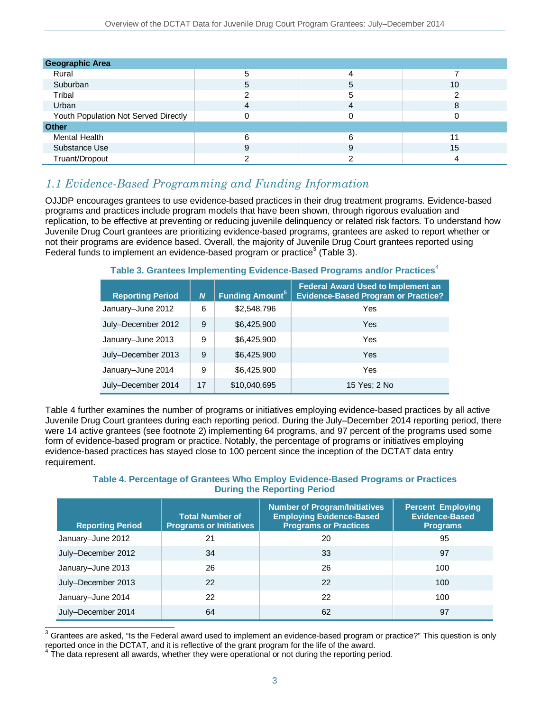| <b>Geographic Area</b>               |   |   |    |
|--------------------------------------|---|---|----|
| Rural                                | 5 |   |    |
| Suburban                             | 5 | 5 | 10 |
| Tribal                               |   | 5 |    |
| Urban                                | 4 | 4 | 8  |
| Youth Population Not Served Directly |   |   |    |
| <b>Other</b>                         |   |   |    |
| Mental Health                        | 6 | 6 | 11 |
| Substance Use                        | 9 | 9 | 15 |
| Truant/Dropout                       |   |   |    |

### *1.1 Evidence-Based Programming and Funding Information*

OJJDP encourages grantees to use evidence-based practices in their drug treatment programs. Evidence-based programs and practices include program models that have been shown, through rigorous evaluation and replication, to be effective at preventing or reducing juvenile delinquency or related risk factors. To understand how Juvenile Drug Court grantees are prioritizing evidence-based programs, grantees are asked to report whether or not their programs are evidence based. Overall, the majority of Juvenile Drug Court grantees reported using Federal funds to implement an evidence-based program or practice<sup>[3](#page-2-0)</sup> (Table 3).

#### **Table 3. Grantees Implementing Evidence-Based Programs and/or Practices**<sup>[4](#page-2-1)</sup>

| <b>Reporting Period</b> | $\boldsymbol{N}$ | Funding Amount <sup>5</sup> | <b>Federal Award Used to Implement an</b><br><b>Evidence-Based Program or Practice?</b> |
|-------------------------|------------------|-----------------------------|-----------------------------------------------------------------------------------------|
| January-June 2012       | 6                | \$2,548,796                 | Yes                                                                                     |
| July-December 2012      | 9                | \$6,425,900                 | Yes                                                                                     |
| January-June 2013       | 9                | \$6,425,900                 | Yes                                                                                     |
| July-December 2013      | 9                | \$6,425,900                 | Yes                                                                                     |
| January-June 2014       | 9                | \$6,425,900                 | Yes                                                                                     |
| July-December 2014      | 17               | \$10,040,695                | 15 Yes; 2 No                                                                            |

Table 4 further examines the number of programs or initiatives employing evidence-based practices by all active Juvenile Drug Court grantees during each reporting period. During the July–December 2014 reporting period, there were 14 active grantees (see footnote 2) implementing 64 programs, and 97 percent of the programs used some form of evidence-based program or practice. Notably, the percentage of programs or initiatives employing evidence-based practices has stayed close to 100 percent since the inception of the DCTAT data entry requirement.

#### **Table 4. Percentage of Grantees Who Employ Evidence-Based Programs or Practices During the Reporting Period**

| <b>Reporting Period</b> | <b>Total Number of</b><br><b>Programs or Initiatives</b> | <b>Number of Program/Initiatives</b><br><b>Employing Evidence-Based</b><br><b>Programs or Practices</b> | <b>Percent Employing</b><br><b>Evidence-Based</b><br><b>Programs</b> |
|-------------------------|----------------------------------------------------------|---------------------------------------------------------------------------------------------------------|----------------------------------------------------------------------|
| January-June 2012       | 21                                                       | 20                                                                                                      | 95                                                                   |
| July-December 2012      | 34                                                       | 33                                                                                                      | 97                                                                   |
| January-June 2013       | 26                                                       | 26                                                                                                      | 100                                                                  |
| July-December 2013      | 22                                                       | 22                                                                                                      | 100                                                                  |
| January-June 2014       | 22                                                       | 22                                                                                                      | 100                                                                  |
| July-December 2014      | 64                                                       | 62                                                                                                      | 97                                                                   |

<span id="page-2-0"></span> $\overline{a}$  $^3$  Grantees are asked, "Is the Federal award used to implement an evidence-based program or practice?" This question is only reported once in the DCTAT, and it is reflective of the grant program for the life of the award.

<span id="page-2-2"></span><span id="page-2-1"></span> $4$  The data represent all awards, whether they were operational or not during the reporting period.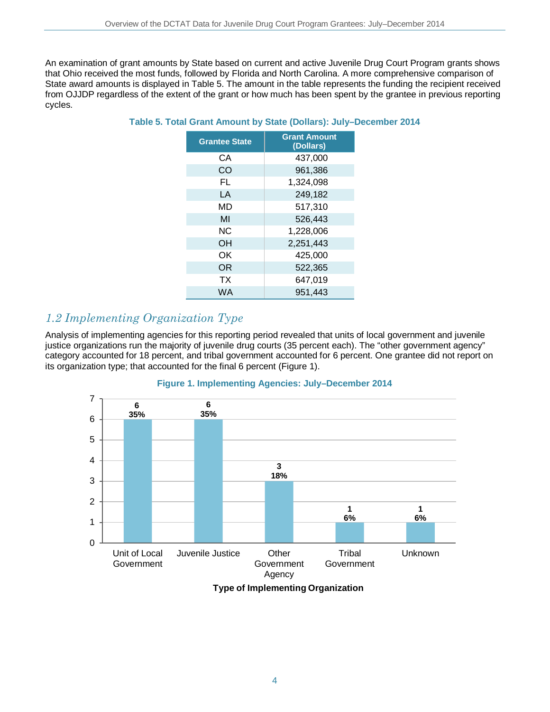An examination of grant amounts by State based on current and active Juvenile Drug Court Program grants shows that Ohio received the most funds, followed by Florida and North Carolina. A more comprehensive comparison of State award amounts is displayed in Table 5. The amount in the table represents the funding the recipient received from OJJDP regardless of the extent of the grant or how much has been spent by the grantee in previous reporting cycles.

| <b>Grantee State</b> | <b>Grant Amount</b><br>(Dollars) |
|----------------------|----------------------------------|
| CА                   | 437,000                          |
| CO                   | 961,386                          |
| FL                   | 1,324,098                        |
| LA                   | 249,182                          |
| MD                   | 517,310                          |
| MI                   | 526,443                          |
| <b>NC</b>            | 1,228,006                        |
| OH                   | 2,251,443                        |
| ΟK                   | 425,000                          |
| <b>OR</b>            | 522,365                          |
| <b>TX</b>            | 647,019                          |
| WA                   | 951.443                          |

**Table 5. Total Grant Amount by State (Dollars): July–December 2014**

### *1.2 Implementing Organization Type*

Analysis of implementing agencies for this reporting period revealed that units of local government and juvenile justice organizations run the majority of juvenile drug courts (35 percent each). The "other government agency" category accounted for 18 percent, and tribal government accounted for 6 percent. One grantee did not report on its organization type; that accounted for the final 6 percent (Figure 1).



#### **Figure 1. Implementing Agencies: July–December 2014**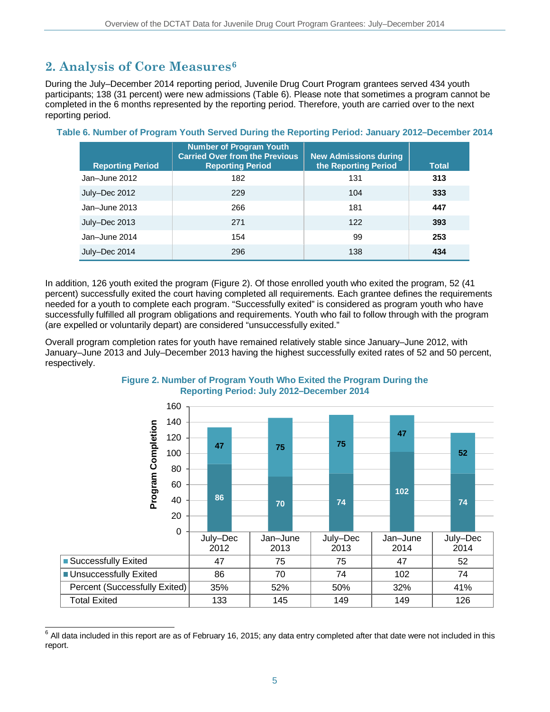# **2. Analysis of Core Measures[6](#page-4-0)**

During the July–December 2014 reporting period, Juvenile Drug Court Program grantees served 434 youth participants; 138 (31 percent) were new admissions (Table 6). Please note that sometimes a program cannot be completed in the 6 months represented by the reporting period. Therefore, youth are carried over to the next reporting period.

| <b>Reporting Period</b> | <b>Number of Program Youth</b><br><b>Carried Over from the Previous</b><br><b>Reporting Period</b> | <b>New Admissions during</b><br>the Reporting Period | <b>Total</b> |
|-------------------------|----------------------------------------------------------------------------------------------------|------------------------------------------------------|--------------|
| Jan-June 2012           | 182                                                                                                | 131                                                  | 313          |
| July-Dec 2012           | 229                                                                                                | 104                                                  | 333          |
| Jan-June 2013           | 266                                                                                                | 181                                                  | 447          |
| July-Dec 2013           | 271                                                                                                | 122                                                  | 393          |
| Jan-June 2014           | 154                                                                                                | 99                                                   | 253          |
| July-Dec 2014           | 296                                                                                                | 138                                                  | 434          |

#### **Table 6. Number of Program Youth Served During the Reporting Period: January 2012–December 2014**

In addition, 126 youth exited the program (Figure 2). Of those enrolled youth who exited the program, 52 (41 percent) successfully exited the court having completed all requirements. Each grantee defines the requirements needed for a youth to complete each program. "Successfully exited" is considered as program youth who have successfully fulfilled all program obligations and requirements. Youth who fail to follow through with the program (are expelled or voluntarily depart) are considered "unsuccessfully exited."

Overall program completion rates for youth have remained relatively stable since January–June 2012, with January–June 2013 and July–December 2013 having the highest successfully exited rates of 52 and 50 percent, respectively.



#### **Figure 2. Number of Program Youth Who Exited the Program During the Reporting Period: July 2012–December 2014**

<span id="page-4-0"></span> $\overline{a}$  $^6$  All data included in this report are as of February 16, 2015; any data entry completed after that date were not included in this report.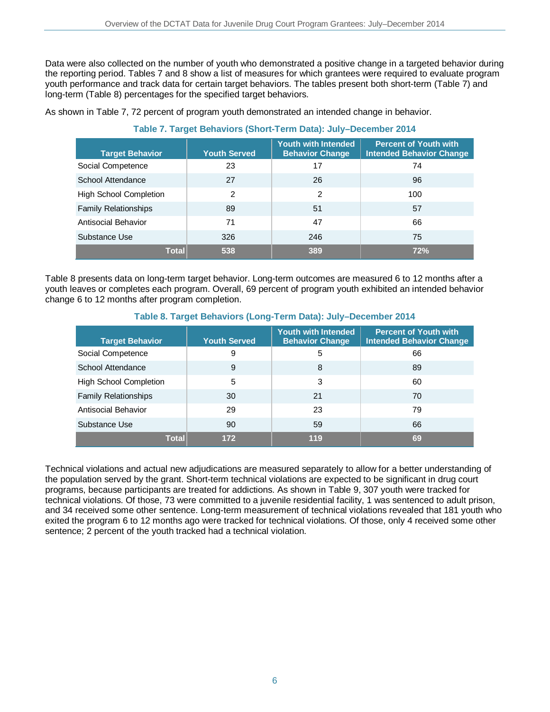Data were also collected on the number of youth who demonstrated a positive change in a targeted behavior during the reporting period. Tables 7 and 8 show a list of measures for which grantees were required to evaluate program youth performance and track data for certain target behaviors. The tables present both short-term (Table 7) and long-term (Table 8) percentages for the specified target behaviors.

As shown in Table 7, 72 percent of program youth demonstrated an intended change in behavior.

| <b>Target Behavior</b>        | <b>Youth Served</b> | <b>Youth with Intended</b><br><b>Behavior Change</b> | <b>Percent of Youth with</b><br><b>Intended Behavior Change</b> |
|-------------------------------|---------------------|------------------------------------------------------|-----------------------------------------------------------------|
| Social Competence             | 23                  | 17                                                   | 74                                                              |
| School Attendance             | 27                  | 26                                                   | 96                                                              |
| <b>High School Completion</b> | 2                   | $\overline{2}$                                       | 100                                                             |
| <b>Family Relationships</b>   | 89                  | 51                                                   | 57                                                              |
| <b>Antisocial Behavior</b>    | 71                  | 47                                                   | 66                                                              |
| Substance Use                 | 326                 | 246                                                  | 75                                                              |
| <b>Total</b>                  | 538                 | 389                                                  | 72%                                                             |

### **Table 7. Target Behaviors (Short-Term Data): July–December 2014**

Table 8 presents data on long-term target behavior. Long-term outcomes are measured 6 to 12 months after a youth leaves or completes each program. Overall, 69 percent of program youth exhibited an intended behavior change 6 to 12 months after program completion.

#### **Target Behavior Youth Served Youth with Intended Behavior Change Percent of Youth with Intended Behavior Change** Social Competence  $\begin{array}{cccc} | & 9 & | & 5 & | & 66 \end{array}$ School Attendance and  $\begin{array}{ccc} | & 9 & 8 \\ | & 9 & 8 \end{array}$ High School Completion  $\begin{array}{ccc} 5 & 3 & 3 \\ 60 & 1 & 3 \end{array}$ Family Relationships 1 20 21 70 Antisocial Behavior 1992 1992 12:38 12:38 12:38 12:38 12:38 12:38 12:38 12:38 12:38 12:38 12:38 12:38 12:38 13:38 Substance Use **59** 66

#### **Table 8. Target Behaviors (Long-Term Data): July–December 2014**

Technical violations and actual new adjudications are measured separately to allow for a better understanding of the population served by the grant. Short-term technical violations are expected to be significant in drug court programs, because participants are treated for addictions. As shown in Table 9, 307 youth were tracked for technical violations. Of those, 73 were committed to a juvenile residential facility, 1 was sentenced to adult prison, and 34 received some other sentence. Long-term measurement of technical violations revealed that 181 youth who exited the program 6 to 12 months ago were tracked for technical violations. Of those, only 4 received some other sentence; 2 percent of the youth tracked had a technical violation.

**Total 172 119 69**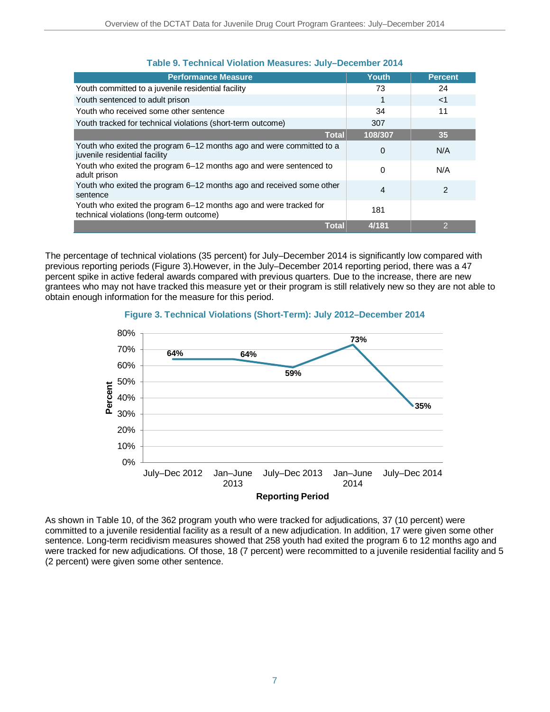| <b>Performance Measure</b>                                                                                    | <b>Youth</b> | <b>Percent</b> |
|---------------------------------------------------------------------------------------------------------------|--------------|----------------|
| Youth committed to a juvenile residential facility                                                            | 73           | 24             |
| Youth sentenced to adult prison                                                                               |              | $<$ 1          |
| Youth who received some other sentence                                                                        | 34           | 11             |
| Youth tracked for technical violations (short-term outcome)                                                   | 307          |                |
| <b>Total</b>                                                                                                  | 108/307      | 35             |
| Youth who exited the program 6–12 months ago and were committed to a<br>juvenile residential facility         | 0            | N/A            |
| Youth who exited the program 6–12 months ago and were sentenced to<br>adult prison                            | 0            | N/A            |
| Youth who exited the program 6–12 months ago and received some other<br>sentence                              | 4            | $\overline{2}$ |
| Youth who exited the program 6–12 months ago and were tracked for<br>technical violations (long-term outcome) | 181          |                |
| <b>Total</b>                                                                                                  | 4/181        | 2              |

#### **Table 9. Technical Violation Measures: July–December 2014**

The percentage of technical violations (35 percent) for July–December 2014 is significantly low compared with previous reporting periods (Figure 3).However, in the July–December 2014 reporting period, there was a 47 percent spike in active federal awards compared with previous quarters. Due to the increase, there are new grantees who may not have tracked this measure yet or their program is still relatively new so they are not able to obtain enough information for the measure for this period.

#### **Figure 3. Technical Violations (Short-Term): July 2012–December 2014**



As shown in Table 10, of the 362 program youth who were tracked for adjudications, 37 (10 percent) were committed to a juvenile residential facility as a result of a new adjudication. In addition, 17 were given some other sentence. Long-term recidivism measures showed that 258 youth had exited the program 6 to 12 months ago and were tracked for new adjudications. Of those, 18 (7 percent) were recommitted to a juvenile residential facility and 5 (2 percent) were given some other sentence.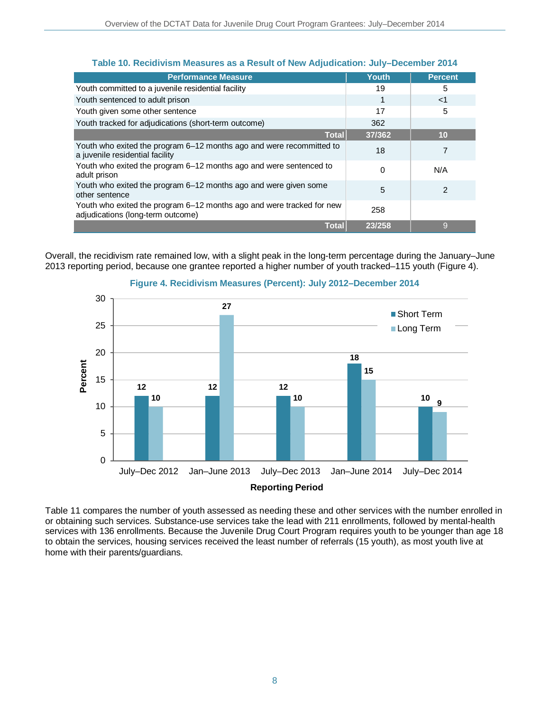| <b>Performance Measure</b>                                                                                 | <b>Youth</b> | <b>Percent</b> |
|------------------------------------------------------------------------------------------------------------|--------------|----------------|
| Youth committed to a juvenile residential facility                                                         | 19           | 5              |
| Youth sentenced to adult prison                                                                            |              | $<$ 1          |
| Youth given some other sentence                                                                            | 17           | 5              |
| Youth tracked for adjudications (short-term outcome)                                                       | 362          |                |
| <b>Total</b>                                                                                               | 37/362       | 10             |
| Youth who exited the program 6–12 months ago and were recommitted to<br>a juvenile residential facility    | 18           |                |
| Youth who exited the program 6-12 months ago and were sentenced to<br>adult prison                         | 0            | N/A            |
| Youth who exited the program 6–12 months ago and were given some<br>other sentence                         | 5            | 2              |
| Youth who exited the program 6–12 months ago and were tracked for new<br>adjudications (long-term outcome) | 258          |                |
| <b>Total</b>                                                                                               | 23/258       | g              |

### **Table 10. Recidivism Measures as a Result of New Adjudication: July–December 2014**

Overall, the recidivism rate remained low, with a slight peak in the long-term percentage during the January–June 2013 reporting period, because one grantee reported a higher number of youth tracked–115 youth (Figure 4).



#### **Figure 4. Recidivism Measures (Percent): July 2012–December 2014**

Table 11 compares the number of youth assessed as needing these and other services with the number enrolled in or obtaining such services. Substance-use services take the lead with 211 enrollments, followed by mental-health services with 136 enrollments. Because the Juvenile Drug Court Program requires youth to be younger than age 18 to obtain the services, housing services received the least number of referrals (15 youth), as most youth live at home with their parents/guardians.